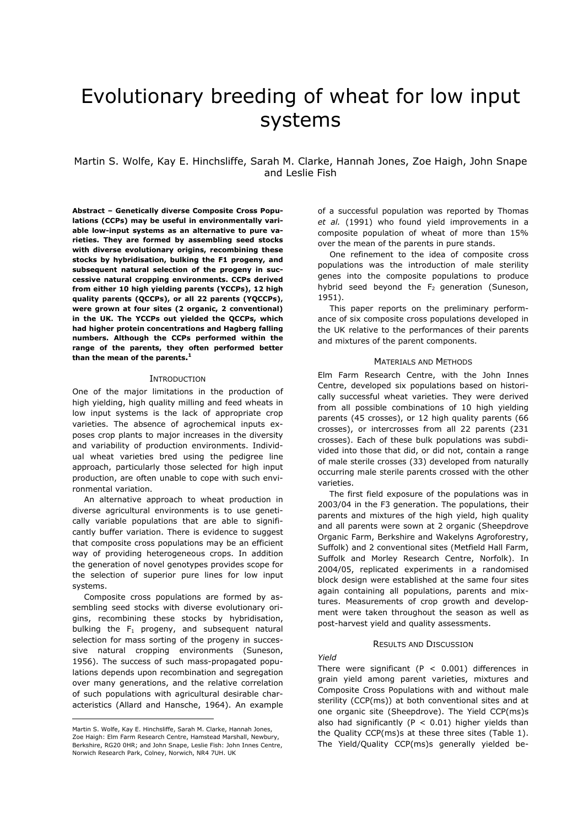# Evolutionary breeding of wheat for low input systems

# Martin S. Wolfe, Kay E. Hinchsliffe, Sarah M. Clarke, Hannah Jones, Zoe Haigh, John Snape and Leslie Fish

**Abstract – Genetically diverse Composite Cross Populations (CCPs) may be useful in environmentally variable low-input systems as an alternative to pure varieties. They are formed by assembling seed stocks with diverse evolutionary origins, recombining these stocks by hybridisation, bulking the F1 progeny, and subsequent natural selection of the progeny in successive natural cropping environments. CCPs derived from either 10 high yielding parents (YCCPs), 12 high quality parents (QCCPs), or all 22 parents (YQCCPs), were grown at four sites (2 organic, 2 conventional) in the UK. The YCCPs out yielded the QCCPs, which had higher protein concentrations and Hagberg falling numbers. Although the CCPs performed within the range of the parents, they often performed better than the mean of the parents. [1](#page-0-0)**

#### **INTRODUCTION**

One of the major limitations in the production of high yielding, high quality milling and feed wheats in low input systems is the lack of appropriate crop varieties. The absence of agrochemical inputs exposes crop plants to major increases in the diversity and variability of production environments. Individual wheat varieties bred using the pedigree line approach, particularly those selected for high input production, are often unable to cope with such environmental variation.

 An alternative approach to wheat production in diverse agricultural environments is to use genetically variable populations that are able to significantly buffer variation. There is evidence to suggest that composite cross populations may be an efficient way of providing heterogeneous crops. In addition the generation of novel genotypes provides scope for the selection of superior pure lines for low input systems.

 Composite cross populations are formed by assembling seed stocks with diverse evolutionary origins, recombining these stocks by hybridisation, bulking the  $F_1$  progeny, and subsequent natural selection for mass sorting of the progeny in successive natural cropping environments (Suneson, 1956). The success of such mass-propagated populations depends upon recombination and segregation over many generations, and the relative correlation of such populations with agricultural desirable characteristics (Allard and Hansche, 1964). An example

 $\overline{a}$ 

of a successful population was reported by Thomas *et al.* (1991) who found yield improvements in a composite population of wheat of more than 15% over the mean of the parents in pure stands.

 One refinement to the idea of composite cross populations was the introduction of male sterility genes into the composite populations to produce hybrid seed beyond the  $F<sub>2</sub>$  generation (Suneson, 1951).

 This paper reports on the preliminary performance of six composite cross populations developed in the UK relative to the performances of their parents and mixtures of the parent components.

## MATERIALS AND METHODS

Elm Farm Research Centre, with the John Innes Centre, developed six populations based on historically successful wheat varieties. They were derived from all possible combinations of 10 high yielding parents (45 crosses), or 12 high quality parents (66 crosses), or intercrosses from all 22 parents (231 crosses). Each of these bulk populations was subdivided into those that did, or did not, contain a range of male sterile crosses (33) developed from naturally occurring male sterile parents crossed with the other varieties.

 The first field exposure of the populations was in 2003/04 in the F3 generation. The populations, their parents and mixtures of the high yield, high quality and all parents were sown at 2 organic (Sheepdrove Organic Farm, Berkshire and Wakelyns Agroforestry, Suffolk) and 2 conventional sites (Metfield Hall Farm, Suffolk and Morley Research Centre, Norfolk). In 2004/05, replicated experiments in a randomised block design were established at the same four sites again containing all populations, parents and mixtures. Measurements of crop growth and development were taken throughout the season as well as post-harvest yield and quality assessments.

#### RESULTS AND DISCUSSION

*Yield*  There were significant ( $P < 0.001$ ) differences in grain yield among parent varieties, mixtures and Composite Cross Populations with and without male sterility (CCP(ms)) at both conventional sites and at one organic site (Sheepdrove). The Yield CCP(ms)s also had significantly ( $P < 0.01$ ) higher yields than the Quality CCP(ms)s at these three sites (Table 1). The Yield/Quality CCP(ms)s generally yielded be-

<span id="page-0-0"></span>Martin S. Wolfe, Kay E. Hinchsliffe, Sarah M. Clarke, Hannah Jones, Zoe Haigh: Elm Farm Research Centre, Hamstead Marshall, Newbury, Berkshire, RG20 0HR; and John Snape, Leslie Fish: John Innes Centre, Norwich Research Park, Colney, Norwich, NR4 7UH. UK